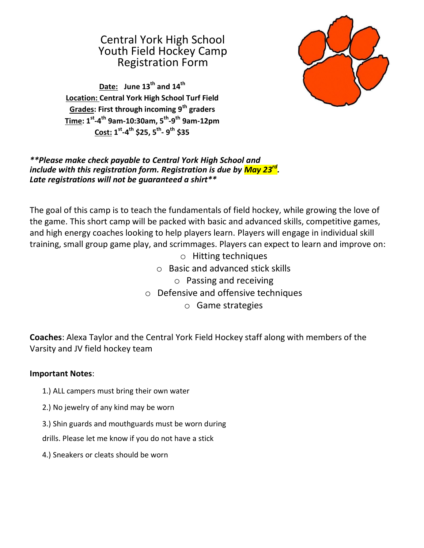## Central York High School Youth Field Hockey Camp Registration Form



**Date: June 13th and 14th Location: Central York High School Turf Field Grades: First through incoming 9th graders Time: 1st -4 th 9am-10:30am, 5th -9 th 9am-12pm Cost: 1 st -4 th \$25, 5th - 9 th \$35**

## *\*\*Please make check payable to Central York High School and include with this registration form. Registration is due by May 23rd . Late registrations will not be guaranteed a shirt\*\**

The goal of this camp is to teach the fundamentals of field hockey, while growing the love of the game. This short camp will be packed with basic and advanced skills, competitive games, and high energy coaches looking to help players learn. Players will engage in individual skill training, small group game play, and scrimmages. Players can expect to learn and improve on:

- o Hitting techniques
- o Basic and advanced stick skills
	- o Passing and receiving
- o Defensive and offensive techniques
	- o Game strategies

**Coaches**: Alexa Taylor and the Central York Field Hockey staff along with members of the Varsity and JV field hockey team

## **Important Notes**:

- 1.) ALL campers must bring their own water
- 2.) No jewelry of any kind may be worn
- 3.) Shin guards and mouthguards must be worn during
- drills. Please let me know if you do not have a stick
- 4.) Sneakers or cleats should be worn